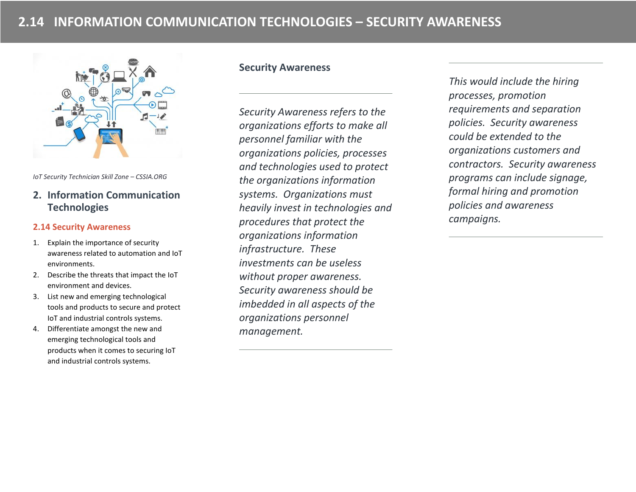

*IoT Security Technician Skill Zone – CSSIA.ORG*

# **2. Information Communication Technologies**

#### **2.14 Security Awareness**

- 1. Explain the importance of security awareness related to automation and IoT environments.
- 2. Describe the threats that impact the IoT environment and devices.
- 3. List new and emerging technological tools and products to secure and protect IoT and industrial controls systems.
- 4. Differentiate amongst the new and emerging technological tools and products when it comes to securing IoT and industrial controls systems.

### **Security Awareness**

*Security Awareness refers to the organizations efforts to make all personnel familiar with the organizations policies, processes and technologies used to protect the organizations information systems. Organizations must heavily invest in technologies and procedures that protect the organizations information infrastructure. These investments can be useless without proper awareness. Security awareness should be imbedded in all aspects of the organizations personnel management.* 

*This would include the hiring processes, promotion requirements and separation policies. Security awareness could be extended to the organizations customers and contractors. Security awareness programs can include signage, formal hiring and promotion policies and awareness campaigns.*